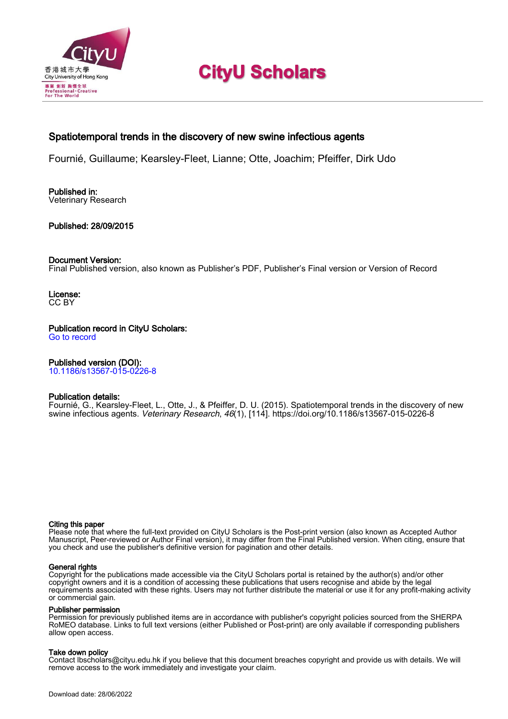

# **CityU Scholars**

# Spatiotemporal trends in the discovery of new swine infectious agents

Fournié, Guillaume; Kearsley-Fleet, Lianne; Otte, Joachim; Pfeiffer, Dirk Udo

Published in: Veterinary Research

# Published: 28/09/2015

# Document Version:

Final Published version, also known as Publisher's PDF, Publisher's Final version or Version of Record

License: CC BY

Publication record in CityU Scholars: [Go to record](https://scholars.cityu.edu.hk/en/publications/spatiotemporal-trends-in-the-discovery-of-new-swine-infectious-agents(1077bc60-e2b5-423b-b8c5-37be2c1334e8).html)

# Published version (DOI):

[10.1186/s13567-015-0226-8](https://doi.org/10.1186/s13567-015-0226-8)

# Publication details:

Fournié, G., Kearsley-Fleet, L., Otte, J.[, & Pfeiffer, D. U.](https://scholars.cityu.edu.hk/en/persons/dirk-udo-pfeiffer(f860b45c-a6d2-4f5b-8795-c33a0135bfee).html) (2015). [Spatiotemporal trends in the discovery of new](https://scholars.cityu.edu.hk/en/publications/spatiotemporal-trends-in-the-discovery-of-new-swine-infectious-agents(1077bc60-e2b5-423b-b8c5-37be2c1334e8).html) [swine infectious agents](https://scholars.cityu.edu.hk/en/publications/spatiotemporal-trends-in-the-discovery-of-new-swine-infectious-agents(1077bc60-e2b5-423b-b8c5-37be2c1334e8).html). [Veterinary Research](https://scholars.cityu.edu.hk/en/journals/veterinary-research(28c49b11-d9fc-4909-98bd-d435fccc5a08)/publications.html), 46(1), [114].<https://doi.org/10.1186/s13567-015-0226-8>

# Citing this paper

Please note that where the full-text provided on CityU Scholars is the Post-print version (also known as Accepted Author Manuscript, Peer-reviewed or Author Final version), it may differ from the Final Published version. When citing, ensure that you check and use the publisher's definitive version for pagination and other details.

# General rights

Copyright for the publications made accessible via the CityU Scholars portal is retained by the author(s) and/or other copyright owners and it is a condition of accessing these publications that users recognise and abide by the legal requirements associated with these rights. Users may not further distribute the material or use it for any profit-making activity or commercial gain.

### Publisher permission

Permission for previously published items are in accordance with publisher's copyright policies sourced from the SHERPA RoMEO database. Links to full text versions (either Published or Post-print) are only available if corresponding publishers allow open access.

#### Take down policy

Contact lbscholars@cityu.edu.hk if you believe that this document breaches copyright and provide us with details. We will remove access to the work immediately and investigate your claim.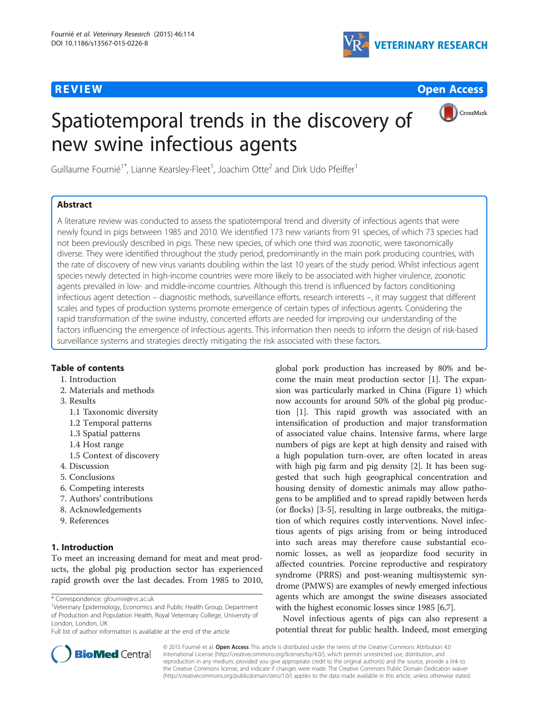

**REVIEW CONTROL** CONTROL CONTROL CONTROL CONTROL CONTROL CONTROL CONTROL CONTROL CONTROL CONTROL CONTROL CONTROL CONTROL CONTROL CONTROL CONTROL CONTROL CONTROL CONTROL CONTROL CONTROL CONTROL CONTROL CONTROL CONTROL CONTR

# Spatiotemporal trends in the discovery of new swine infectious agents



Guillaume Fournié<sup>1\*</sup>, Lianne Kearsley-Fleet<sup>1</sup>, Joachim Otte<sup>2</sup> and Dirk Udo Pfeiffer<sup>1</sup>

# Abstract

A literature review was conducted to assess the spatiotemporal trend and diversity of infectious agents that were newly found in pigs between 1985 and 2010. We identified 173 new variants from 91 species, of which 73 species had not been previously described in pigs. These new species, of which one third was zoonotic, were taxonomically diverse. They were identified throughout the study period, predominantly in the main pork producing countries, with the rate of discovery of new virus variants doubling within the last 10 years of the study period. Whilst infectious agent species newly detected in high-income countries were more likely to be associated with higher virulence, zoonotic agents prevailed in low- and middle-income countries. Although this trend is influenced by factors conditioning infectious agent detection – diagnostic methods, surveillance efforts, research interests –, it may suggest that different scales and types of production systems promote emergence of certain types of infectious agents. Considering the rapid transformation of the swine industry, concerted efforts are needed for improving our understanding of the factors influencing the emergence of infectious agents. This information then needs to inform the design of risk-based surveillance systems and strategies directly mitigating the risk associated with these factors.

# Table of contents

- 1. Introduction
- 2. Materials and methods
- 3. Results
	- 1.1 Taxonomic diversity
	- 1.2 Temporal patterns
	- 1.3 Spatial patterns
	- 1.4 Host range
	- 1.5 Context of discovery
- 4. Discussion
- 5. Conclusions
- 6. Competing interests
- 7. Authors' contributions
- 8. Acknowledgements
- 9. References

# 1. Introduction

To meet an increasing demand for meat and meat products, the global pig production sector has experienced rapid growth over the last decades. From 1985 to 2010, global pork production has increased by 80% and become the main meat production sector [[1\]](#page-8-0). The expansion was particularly marked in China (Figure [1](#page-2-0)) which now accounts for around 50% of the global pig production [[1\]](#page-8-0). This rapid growth was associated with an intensification of production and major transformation of associated value chains. Intensive farms, where large numbers of pigs are kept at high density and raised with a high population turn-over, are often located in areas with high pig farm and pig density [\[2\]](#page-8-0). It has been suggested that such high geographical concentration and housing density of domestic animals may allow pathogens to be amplified and to spread rapidly between herds (or flocks) [\[3](#page-8-0)-[5\]](#page-8-0), resulting in large outbreaks, the mitigation of which requires costly interventions. Novel infectious agents of pigs arising from or being introduced into such areas may therefore cause substantial economic losses, as well as jeopardize food security in affected countries. Porcine reproductive and respiratory syndrome (PRRS) and post-weaning multisystemic syndrome (PMWS) are examples of newly emerged infectious agents which are amongst the swine diseases associated with the highest economic losses since 1985 [\[6,7](#page-8-0)].

Novel infectious agents of pigs can also represent a potential threat for public health. Indeed, most emerging



© 2015 Fournié et al. Open Access This article is distributed under the terms of the Creative Commons Attribution 4.0 International License [\(http://creativecommons.org/licenses/by/4.0/](http://creativecommons.org/licenses/by/4.0/)), which permits unrestricted use, distribution, and reproduction in any medium, provided you give appropriate credit to the original author(s) and the source, provide a link to the Creative Commons license, and indicate if changes were made. The Creative Commons Public Domain Dedication waiver [\(http://creativecommons.org/publicdomain/zero/1.0/](http://creativecommons.org/publicdomain/zero/1.0/)) applies to the data made available in this article, unless otherwise stated.

<sup>\*</sup> Correspondence: [gfournie@rvc.ac.uk](mailto:gfournie@rvc.ac.uk) <sup>1</sup>

<sup>&</sup>lt;sup>1</sup>Veterinary Epidemiology, Economics and Public Health Group, Department of Production and Population Health, Royal Veterinary College, University of London, London, UK

Full list of author information is available at the end of the article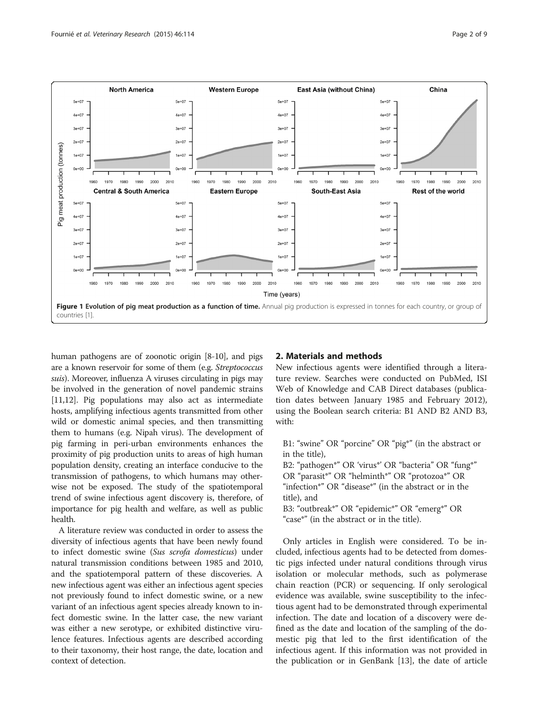<span id="page-2-0"></span>

human pathogens are of zoonotic origin [\[8-10\]](#page-8-0), and pigs are a known reservoir for some of them (e.g. Streptococcus suis). Moreover, influenza A viruses circulating in pigs may be involved in the generation of novel pandemic strains [[11](#page-8-0)[,12](#page-9-0)]. Pig populations may also act as intermediate hosts, amplifying infectious agents transmitted from other wild or domestic animal species, and then transmitting them to humans (e.g. Nipah virus). The development of pig farming in peri-urban environments enhances the proximity of pig production units to areas of high human population density, creating an interface conducive to the transmission of pathogens, to which humans may otherwise not be exposed. The study of the spatiotemporal trend of swine infectious agent discovery is, therefore, of importance for pig health and welfare, as well as public health.

A literature review was conducted in order to assess the diversity of infectious agents that have been newly found to infect domestic swine (Sus scrofa domesticus) under natural transmission conditions between 1985 and 2010, and the spatiotemporal pattern of these discoveries. A new infectious agent was either an infectious agent species not previously found to infect domestic swine, or a new variant of an infectious agent species already known to infect domestic swine. In the latter case, the new variant was either a new serotype, or exhibited distinctive virulence features. Infectious agents are described according to their taxonomy, their host range, the date, location and context of detection.

# 2. Materials and methods

New infectious agents were identified through a literature review. Searches were conducted on PubMed, ISI Web of Knowledge and CAB Direct databases (publication dates between January 1985 and February 2012), using the Boolean search criteria: B1 AND B2 AND B3, with:

B1: "swine" OR "porcine" OR "pig\*" (in the abstract or in the title),

B2: "pathogen\*" OR 'virus\*' OR "bacteria" OR "fung\*" OR "parasit\*" OR "helminth\*" OR "protozoa\*" OR "infection\*" OR "disease\*" (in the abstract or in the title), and

B3: "outbreak\*" OR "epidemic\*" OR "emerg\*" OR "case\*" (in the abstract or in the title).

Only articles in English were considered. To be included, infectious agents had to be detected from domestic pigs infected under natural conditions through virus isolation or molecular methods, such as polymerase chain reaction (PCR) or sequencing. If only serological evidence was available, swine susceptibility to the infectious agent had to be demonstrated through experimental infection. The date and location of a discovery were defined as the date and location of the sampling of the domestic pig that led to the first identification of the infectious agent. If this information was not provided in the publication or in GenBank [[13\]](#page-9-0), the date of article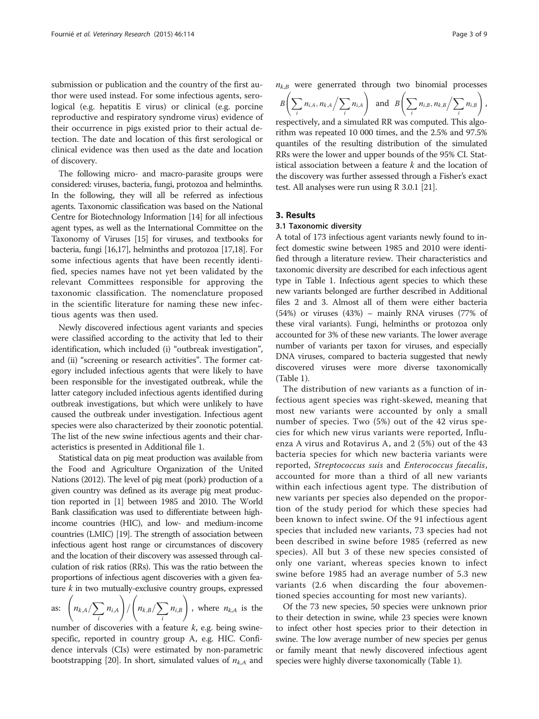submission or publication and the country of the first author were used instead. For some infectious agents, serological (e.g. hepatitis E virus) or clinical (e.g. porcine reproductive and respiratory syndrome virus) evidence of their occurrence in pigs existed prior to their actual detection. The date and location of this first serological or clinical evidence was then used as the date and location of discovery.

The following micro- and macro-parasite groups were considered: viruses, bacteria, fungi, protozoa and helminths. In the following, they will all be referred as infectious agents. Taxonomic classification was based on the National Centre for Biotechnology Information [[14\]](#page-9-0) for all infectious agent types, as well as the International Committee on the Taxonomy of Viruses [\[15\]](#page-9-0) for viruses, and textbooks for bacteria, fungi [\[16,17](#page-9-0)], helminths and protozoa [[17,18](#page-9-0)]. For some infectious agents that have been recently identified, species names have not yet been validated by the relevant Committees responsible for approving the taxonomic classification. The nomenclature proposed in the scientific literature for naming these new infectious agents was then used.

Newly discovered infectious agent variants and species were classified according to the activity that led to their identification, which included (i) "outbreak investigation", and (ii) "screening or research activities". The former category included infectious agents that were likely to have been responsible for the investigated outbreak, while the latter category included infectious agents identified during outbreak investigations, but which were unlikely to have caused the outbreak under investigation. Infectious agent species were also characterized by their zoonotic potential. The list of the new swine infectious agents and their characteristics is presented in Additional file [1.](#page-8-0)

Statistical data on pig meat production was available from the Food and Agriculture Organization of the United Nations (2012). The level of pig meat (pork) production of a given country was defined as its average pig meat production reported in [\[1\]](#page-8-0) between 1985 and 2010. The World Bank classification was used to differentiate between highincome countries (HIC), and low- and medium-income countries (LMIC) [\[19\]](#page-9-0). The strength of association between infectious agent host range or circumstances of discovery and the location of their discovery was assessed through calculation of risk ratios (RRs). This was the ratio between the proportions of infectious agent discoveries with a given feature  $k$  in two mutually-exclusive country groups, expressed

as:  $\left\lfloor n_{k,A}/\sum\right\rfloor$  $\left(n_{k,A}/\sum_{i}n_{i,A}\right)/\left(n_{k,B}/\sum_{i}\right)$  $\left(n_{k,B}/\sum_{i} n_{i,B}\right)$ , where  $n_{k,A}$  is the

number of discoveries with a feature  $k$ , e.g. being swinespecific, reported in country group A, e.g. HIC. Confidence intervals (CIs) were estimated by non-parametric bootstrapping [[20](#page-9-0)]. In short, simulated values of  $n_{k,A}$  and  $n_{k,B}$  were generrated through two binomial processes

$$
B\left(\sum_i n_{i,A}, n_{k,A}/\sum_i n_{i,A}\right)
$$
 and  $B\left(\sum_i n_{i,B}, n_{k,B}/\sum_i n_{i,B}\right)$ ,

respectively, and a simulated RR was computed. This algorithm was repeated 10 000 times, and the 2.5% and 97.5% quantiles of the resulting distribution of the simulated RRs were the lower and upper bounds of the 95% CI. Statistical association between a feature  $k$  and the location of the discovery was further assessed through a Fisher's exact test. All analyses were run using R 3.0.1 [\[21\]](#page-9-0).

#### 3. Results

#### 3.1 Taxonomic diversity

A total of 173 infectious agent variants newly found to infect domestic swine between 1985 and 2010 were identified through a literature review. Their characteristics and taxonomic diversity are described for each infectious agent type in Table [1.](#page-4-0) Infectious agent species to which these new variants belonged are further described in Additional files [2](#page-8-0) and [3](#page-8-0). Almost all of them were either bacteria (54%) or viruses (43%) – mainly RNA viruses (77% of these viral variants). Fungi, helminths or protozoa only accounted for 3% of these new variants. The lower average number of variants per taxon for viruses, and especially DNA viruses, compared to bacteria suggested that newly discovered viruses were more diverse taxonomically (Table [1](#page-4-0)).

The distribution of new variants as a function of infectious agent species was right-skewed, meaning that most new variants were accounted by only a small number of species. Two (5%) out of the 42 virus species for which new virus variants were reported, Influenza A virus and Rotavirus A, and 2 (5%) out of the 43 bacteria species for which new bacteria variants were reported, Streptococcus suis and Enterococcus faecalis, accounted for more than a third of all new variants within each infectious agent type. The distribution of new variants per species also depended on the proportion of the study period for which these species had been known to infect swine. Of the 91 infectious agent species that included new variants, 73 species had not been described in swine before 1985 (referred as new species). All but 3 of these new species consisted of only one variant, whereas species known to infect swine before 1985 had an average number of 5.3 new variants (2.6 when discarding the four abovementioned species accounting for most new variants).

Of the 73 new species, 50 species were unknown prior to their detection in swine, while 23 species were known to infect other host species prior to their detection in swine. The low average number of new species per genus or family meant that newly discovered infectious agent species were highly diverse taxonomically (Table [1](#page-4-0)).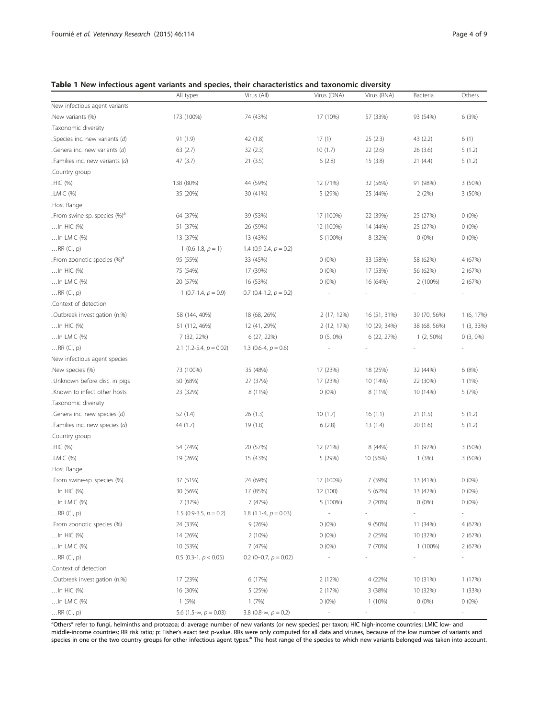<span id="page-4-0"></span>

| Table 1 New infectious agent variants and species, their characteristics and taxonomic diversity |  |
|--------------------------------------------------------------------------------------------------|--|
|--------------------------------------------------------------------------------------------------|--|

|                                         | All types                           | Virus (All)                      | Virus (DNA)              | Virus (RNA)  | Bacteria     | Others       |
|-----------------------------------------|-------------------------------------|----------------------------------|--------------------------|--------------|--------------|--------------|
| New infectious agent variants           |                                     |                                  |                          |              |              |              |
| .New variants (%)                       | 173 (100%)                          | 74 (43%)                         | 17 (10%)                 | 57 (33%)     | 93 (54%)     | 6 (3%)       |
| Taxonomic diversity.                    |                                     |                                  |                          |              |              |              |
| Species inc. new variants (d)           | 91 (1.9)                            | 42 (1.8)                         | 17(1)                    | 25(2.3)      | 43 (2.2)     | 6(1)         |
| Genera inc. new variants (d)            | 63(2.7)                             | 32(2.3)                          | 10(1.7)                  | 22(2.6)      | 26(3.6)      | 5(1.2)       |
| Families inc. new variants (d)          | 47 (3.7)                            | 21 (3.5)                         | 6(2.8)                   | 15(3.8)      | 21 (4.4)     | 5(1.2)       |
| Country group.                          |                                     |                                  |                          |              |              |              |
| HIC (%)                                 | 138 (80%)                           | 44 (59%)                         | 12 (71%)                 | 32 (56%)     | 91 (98%)     | 3 (50%)      |
| LMIC (%)                                | 35 (20%)                            | 30 (41%)                         | 5 (29%)                  | 25 (44%)     | 2(2%)        | 3 (50%)      |
| Host Range                              |                                     |                                  |                          |              |              |              |
| From swine-sp. species (%) <sup>a</sup> | 64 (37%)                            | 39 (53%)                         | 17 (100%)                | 22 (39%)     | 25 (27%)     | $0(0\%)$     |
| $$ In HIC $(\%)$                        | 51 (37%)                            | 26 (59%)                         | 12 (100%)                | 14 (44%)     | 25 (27%)     | $0(0\%)$     |
| $In LMIC (%)$                           | 13 (37%)                            | 13 (43%)                         | 5 (100%)                 | 8 (32%)      | $0(0\%)$     | $0(0\%)$     |
| $RR$ (Cl, $p$ )                         | 1 $(0.6-1.8, p=1)$                  | 1.4 $(0.9-2.4, p = 0.2)$         | $\overline{\phantom{a}}$ |              |              |              |
| From zoonotic species (%) <sup>a</sup>  | 95 (55%)                            | 33 (45%)                         | $0(0\%)$                 | 33 (58%)     | 58 (62%)     | 4 (67%)      |
| $\ln$ HIC $(\%)$                        | 75 (54%)                            | 17 (39%)                         | $0(0\%)$                 | 17 (53%)     | 56 (62%)     | 2 (67%)      |
| $$ In LMIC $(% )$                       | 20 (57%)                            | 16 (53%)                         | $0(0\%)$                 | 16 (64%)     | 2 (100%)     | 2(67%)       |
| $RR$ (CI, $p$ )                         | 1 (0.7-1.4, $p = 0.9$ )             | $0.7$ (0.4-1.2, $p = 0.2$ )      |                          |              |              |              |
| Context of detection.                   |                                     |                                  |                          |              |              |              |
| Outbreak investigation (n,%)            | 58 (144, 40%)                       | 18 (68, 26%)                     | 2 (17, 12%)              | 16 (51, 31%) | 39 (70, 56%) | 1(6, 17%)    |
| $\ln$ HIC $(\%)$                        | 51 (112, 46%)                       | 12 (41, 29%)                     | 2 (12, 17%)              | 10 (29, 34%) | 38 (68, 56%) | $1(3, 33\%)$ |
| $In LMIC (%)$                           | 7 (32, 22%)                         | 6 (27, 22%)                      | $0(5, 0\%)$              | 6 (22, 27%)  | $1(2, 50\%)$ | $0(3,0\%)$   |
| $RR$ (CI, $p$ )                         | 2.1 $(1.2-5.4, p = 0.02)$           | 1.3 (0.6-4, $p = 0.6$ )          |                          |              |              |              |
| New infectious agent species            |                                     |                                  |                          |              |              |              |
| .New species (%)                        | 73 (100%)                           | 35 (48%)                         | 17 (23%)                 | 18 (25%)     | 32 (44%)     | 6 (8%)       |
| Unknown before disc. in pigs            | 50 (68%)                            | 27 (37%)                         | 17 (23%)                 | 10 (14%)     | 22 (30%)     | $1(1\%)$     |
| "Known to infect other hosts            | 23 (32%)                            | 8 (11%)                          | $0(0\%)$                 | 8 (11%)      | 10 (14%)     | 5 (7%)       |
| Taxonomic diversity.                    |                                     |                                  |                          |              |              |              |
| Genera inc. new species (d)             | 52 (1.4)                            | 26(1.3)                          | 10(1.7)                  | 16(1.1)      | 21(1.5)      | 5(1.2)       |
| Families inc. new species (d)           | 44 (1.7)                            | 19 (1.8)                         | 6(2.8)                   | 13(1.4)      | 20(1.6)      | 5(1.2)       |
| Country group.                          |                                     |                                  |                          |              |              |              |
| HIC (%)                                 | 54 (74%)                            | 20 (57%)                         | 12 (71%)                 | 8 (44%)      | 31 (97%)     | 3 (50%)      |
| $LMIC(%)$                               | 19 (26%)                            | 15 (43%)                         | 5 (29%)                  | 10 (56%)     | 1(3%)        | 3 (50%)      |
| Host Range                              |                                     |                                  |                          |              |              |              |
| From swine-sp. species (%)              | 37 (51%)                            | 24 (69%)                         | 17 (100%)                | 7 (39%)      | 13 (41%)     | $0(0\%)$     |
| $\ln$ HIC $(\%)$                        | 30 (56%)                            | 17 (85%)                         | 12 (100)                 | 5 (62%)      | 13 (42%)     | $0(0\%)$     |
| $In LMIC (%)$                           | 7 (37%)                             | 7 (47%)                          | 5 (100%)                 | 2 (20%)      | $0(0\%)$     | $0(0\%)$     |
| $RR$ (Cl, $p$ )                         | 1.5 (0.9-3.5, $p = 0.2$ )           | 1.8 $(1.1-4, p = 0.03)$          |                          |              |              |              |
| From zoonotic species (%)               | 24 (33%)                            | 9(26%)                           | $0(0\%)$                 | 9 (50%)      | 11 (34%)     | 4 (67%)      |
| $\ln$ HIC $(\%)$                        | 14 (26%)                            | 2 (10%)                          | $0(0\%)$                 | 2 (25%)      | 10 (32%)     | 2(67%)       |
| $In LMIC (%)$                           | 10 (53%)                            | 7 (47%)                          | $0(0\%)$                 | 7 (70%)      | 1 (100%)     | 2(67%)       |
| $RR$ (CI, $p$ )                         | $0.5$ (0.3-1, $p < 0.05$ )          | 0.2 (0-0.7, $p = 0.02$ )         |                          |              |              |              |
| Context of detection                    |                                     |                                  |                          |              |              |              |
| Outbreak investigation (n,%)            | 17 (23%)                            | 6 (17%)                          | 2 (12%)                  | 4 (22%)      | 10 (31%)     | 1(17%)       |
| $\ln$ HIC $(\%)$                        | 16 (30%)                            | 5 (25%)                          | 2 (17%)                  | 3 (38%)      | 10 (32%)     | 1 (33%)      |
| $\ln$ LMIC (%)                          | 1(5%)                               | 1(7%)                            | $0(0\%)$                 | $1(10\%)$    | $0(0\%)$     | $0(0\%)$     |
| $RR$ (CI, $p$ )                         | 5.6 $(1.5\text{-}\infty, p = 0.03)$ | 3.8 (0.8- $\infty$ , $p = 0.2$ ) |                          |              |              |              |

"Others" refer to fungi, helminths and protozoa; d: average number of new variants (or new species) per taxon; HIC high-income countries; LMIC low- and middle-income countries; RR risk ratio; p: Fisher's exact test p-value. RRs were only computed for all data and viruses, because of the low number of variants and species in one or the two country groups for other infectious agent types.<sup>a</sup> The host range of the species to which new variants belonged was taken into account.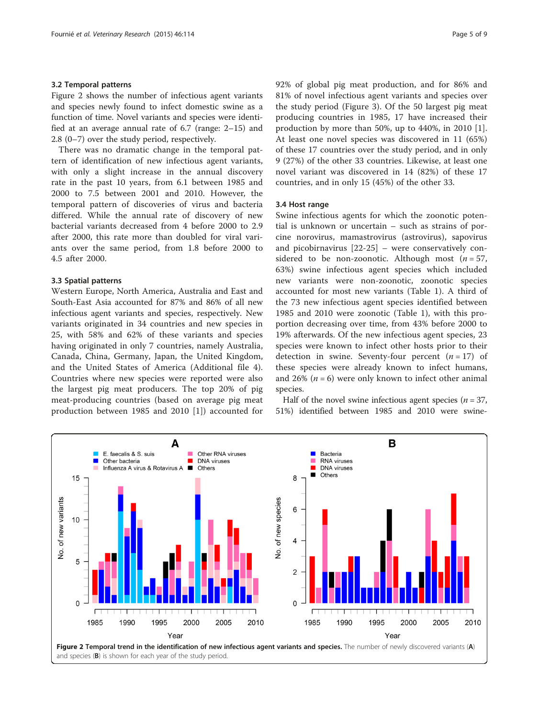#### 3.2 Temporal patterns

Figure 2 shows the number of infectious agent variants and species newly found to infect domestic swine as a function of time. Novel variants and species were identified at an average annual rate of 6.7 (range: 2–15) and 2.8 (0–7) over the study period, respectively.

There was no dramatic change in the temporal pattern of identification of new infectious agent variants, with only a slight increase in the annual discovery rate in the past 10 years, from 6.1 between 1985 and 2000 to 7.5 between 2001 and 2010. However, the temporal pattern of discoveries of virus and bacteria differed. While the annual rate of discovery of new bacterial variants decreased from 4 before 2000 to 2.9 after 2000, this rate more than doubled for viral variants over the same period, from 1.8 before 2000 to 4.5 after 2000.

### 3.3 Spatial patterns

Western Europe, North America, Australia and East and South-East Asia accounted for 87% and 86% of all new infectious agent variants and species, respectively. New variants originated in 34 countries and new species in 25, with 58% and 62% of these variants and species having originated in only 7 countries, namely Australia, Canada, China, Germany, Japan, the United Kingdom, and the United States of America (Additional file [4](#page-8-0)). Countries where new species were reported were also the largest pig meat producers. The top 20% of pig meat-producing countries (based on average pig meat production between 1985 and 2010 [\[1](#page-8-0)]) accounted for 92% of global pig meat production, and for 86% and 81% of novel infectious agent variants and species over the study period (Figure [3](#page-6-0)). Of the 50 largest pig meat producing countries in 1985, 17 have increased their production by more than 50%, up to 440%, in 2010 [\[1](#page-8-0)]. At least one novel species was discovered in 11 (65%) of these 17 countries over the study period, and in only 9 (27%) of the other 33 countries. Likewise, at least one novel variant was discovered in 14 (82%) of these 17 countries, and in only 15 (45%) of the other 33.

#### 3.4 Host range

Swine infectious agents for which the zoonotic potential is unknown or uncertain – such as strains of porcine norovirus, mamastrovirus (astrovirus), sapovirus and picobirnavirus [\[22](#page-9-0)-[25\]](#page-9-0) – were conservatively considered to be non-zoonotic. Although most ( $n = 57$ , 63%) swine infectious agent species which included new variants were non-zoonotic, zoonotic species accounted for most new variants (Table [1](#page-4-0)). A third of the 73 new infectious agent species identified between 1985 and 2010 were zoonotic (Table [1](#page-4-0)), with this proportion decreasing over time, from 43% before 2000 to 19% afterwards. Of the new infectious agent species, 23 species were known to infect other hosts prior to their detection in swine. Seventy-four percent  $(n = 17)$  of these species were already known to infect humans, and 26% ( $n = 6$ ) were only known to infect other animal species.

Half of the novel swine infectious agent species ( $n = 37$ , 51%) identified between 1985 and 2010 were swine-

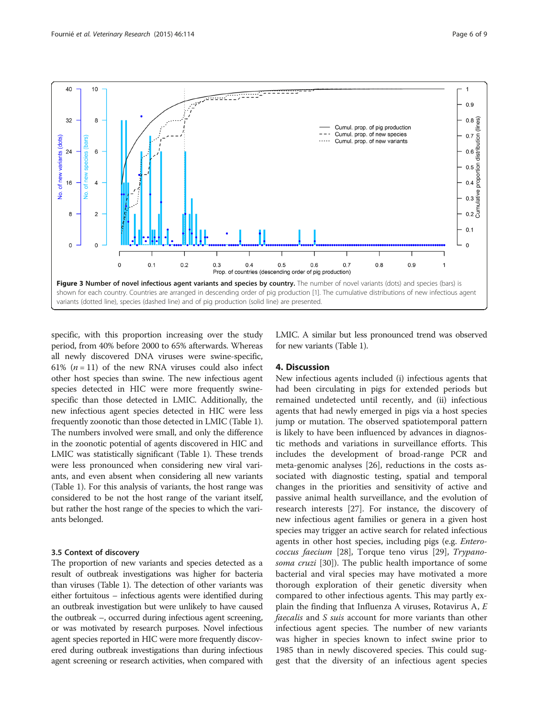<span id="page-6-0"></span>

specific, with this proportion increasing over the study period, from 40% before 2000 to 65% afterwards. Whereas all newly discovered DNA viruses were swine-specific, 61%  $(n = 11)$  of the new RNA viruses could also infect other host species than swine. The new infectious agent species detected in HIC were more frequently swinespecific than those detected in LMIC. Additionally, the new infectious agent species detected in HIC were less frequently zoonotic than those detected in LMIC (Table [1](#page-4-0)). The numbers involved were small, and only the difference in the zoonotic potential of agents discovered in HIC and LMIC was statistically significant (Table [1\)](#page-4-0). These trends were less pronounced when considering new viral variants, and even absent when considering all new variants (Table [1\)](#page-4-0). For this analysis of variants, the host range was considered to be not the host range of the variant itself, but rather the host range of the species to which the variants belonged.

#### 3.5 Context of discovery

The proportion of new variants and species detected as a result of outbreak investigations was higher for bacteria than viruses (Table [1\)](#page-4-0). The detection of other variants was either fortuitous – infectious agents were identified during an outbreak investigation but were unlikely to have caused the outbreak –, occurred during infectious agent screening, or was motivated by research purposes. Novel infectious agent species reported in HIC were more frequently discovered during outbreak investigations than during infectious agent screening or research activities, when compared with LMIC. A similar but less pronounced trend was observed for new variants (Table [1\)](#page-4-0).

# 4. Discussion

New infectious agents included (i) infectious agents that had been circulating in pigs for extended periods but remained undetected until recently, and (ii) infectious agents that had newly emerged in pigs via a host species jump or mutation. The observed spatiotemporal pattern is likely to have been influenced by advances in diagnostic methods and variations in surveillance efforts. This includes the development of broad-range PCR and meta-genomic analyses [\[26](#page-9-0)], reductions in the costs associated with diagnostic testing, spatial and temporal changes in the priorities and sensitivity of active and passive animal health surveillance, and the evolution of research interests [\[27](#page-9-0)]. For instance, the discovery of new infectious agent families or genera in a given host species may trigger an active search for related infectious agents in other host species, including pigs (e.g. Enterococcus faecium [\[28](#page-9-0)], Torque teno virus [\[29](#page-9-0)], Trypano-soma cruzi [\[30](#page-9-0)]). The public health importance of some bacterial and viral species may have motivated a more thorough exploration of their genetic diversity when compared to other infectious agents. This may partly explain the finding that Influenza A viruses, Rotavirus A, E *faecalis* and *S suis* account for more variants than other infectious agent species. The number of new variants was higher in species known to infect swine prior to 1985 than in newly discovered species. This could suggest that the diversity of an infectious agent species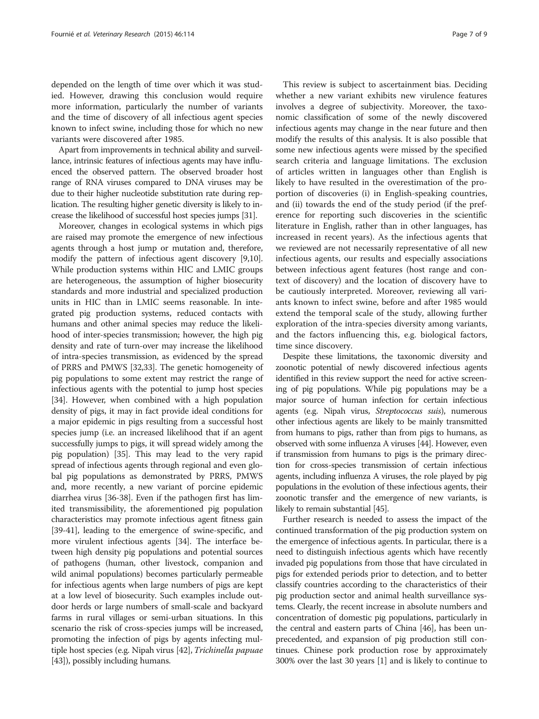depended on the length of time over which it was studied. However, drawing this conclusion would require more information, particularly the number of variants and the time of discovery of all infectious agent species known to infect swine, including those for which no new variants were discovered after 1985.

Apart from improvements in technical ability and surveillance, intrinsic features of infectious agents may have influenced the observed pattern. The observed broader host range of RNA viruses compared to DNA viruses may be due to their higher nucleotide substitution rate during replication. The resulting higher genetic diversity is likely to increase the likelihood of successful host species jumps [\[31](#page-9-0)].

Moreover, changes in ecological systems in which pigs are raised may promote the emergence of new infectious agents through a host jump or mutation and, therefore, modify the pattern of infectious agent discovery [[9,10](#page-8-0)]. While production systems within HIC and LMIC groups are heterogeneous, the assumption of higher biosecurity standards and more industrial and specialized production units in HIC than in LMIC seems reasonable. In integrated pig production systems, reduced contacts with humans and other animal species may reduce the likelihood of inter-species transmission; however, the high pig density and rate of turn-over may increase the likelihood of intra-species transmission, as evidenced by the spread of PRRS and PMWS [\[32,33](#page-9-0)]. The genetic homogeneity of pig populations to some extent may restrict the range of infectious agents with the potential to jump host species [[34](#page-9-0)]. However, when combined with a high population density of pigs, it may in fact provide ideal conditions for a major epidemic in pigs resulting from a successful host species jump (i.e. an increased likelihood that if an agent successfully jumps to pigs, it will spread widely among the pig population) [\[35\]](#page-9-0). This may lead to the very rapid spread of infectious agents through regional and even global pig populations as demonstrated by PRRS, PMWS and, more recently, a new variant of porcine epidemic diarrhea virus [[36-38\]](#page-9-0). Even if the pathogen first has limited transmissibility, the aforementioned pig population characteristics may promote infectious agent fitness gain [[39](#page-9-0)-[41\]](#page-9-0), leading to the emergence of swine-specific, and more virulent infectious agents [[34](#page-9-0)]. The interface between high density pig populations and potential sources of pathogens (human, other livestock, companion and wild animal populations) becomes particularly permeable for infectious agents when large numbers of pigs are kept at a low level of biosecurity. Such examples include outdoor herds or large numbers of small-scale and backyard farms in rural villages or semi-urban situations. In this scenario the risk of cross-species jumps will be increased, promoting the infection of pigs by agents infecting multiple host species (e.g. Nipah virus [[42](#page-9-0)], Trichinella papuae [[43](#page-9-0)]), possibly including humans.

This review is subject to ascertainment bias. Deciding whether a new variant exhibits new virulence features involves a degree of subjectivity. Moreover, the taxonomic classification of some of the newly discovered infectious agents may change in the near future and then modify the results of this analysis. It is also possible that some new infectious agents were missed by the specified search criteria and language limitations. The exclusion of articles written in languages other than English is likely to have resulted in the overestimation of the proportion of discoveries (i) in English-speaking countries, and (ii) towards the end of the study period (if the preference for reporting such discoveries in the scientific literature in English, rather than in other languages, has increased in recent years). As the infectious agents that we reviewed are not necessarily representative of all new infectious agents, our results and especially associations between infectious agent features (host range and context of discovery) and the location of discovery have to be cautiously interpreted. Moreover, reviewing all variants known to infect swine, before and after 1985 would extend the temporal scale of the study, allowing further exploration of the intra-species diversity among variants, and the factors influencing this, e.g. biological factors, time since discovery.

Despite these limitations, the taxonomic diversity and zoonotic potential of newly discovered infectious agents identified in this review support the need for active screening of pig populations. While pig populations may be a major source of human infection for certain infectious agents (e.g. Nipah virus, Streptococcus suis), numerous other infectious agents are likely to be mainly transmitted from humans to pigs, rather than from pigs to humans, as observed with some influenza A viruses [\[44\]](#page-9-0). However, even if transmission from humans to pigs is the primary direction for cross-species transmission of certain infectious agents, including influenza A viruses, the role played by pig populations in the evolution of these infectious agents, their zoonotic transfer and the emergence of new variants, is likely to remain substantial [[45\]](#page-9-0).

Further research is needed to assess the impact of the continued transformation of the pig production system on the emergence of infectious agents. In particular, there is a need to distinguish infectious agents which have recently invaded pig populations from those that have circulated in pigs for extended periods prior to detection, and to better classify countries according to the characteristics of their pig production sector and animal health surveillance systems. Clearly, the recent increase in absolute numbers and concentration of domestic pig populations, particularly in the central and eastern parts of China [\[46\]](#page-9-0), has been unprecedented, and expansion of pig production still continues. Chinese pork production rose by approximately 300% over the last 30 years [\[1\]](#page-8-0) and is likely to continue to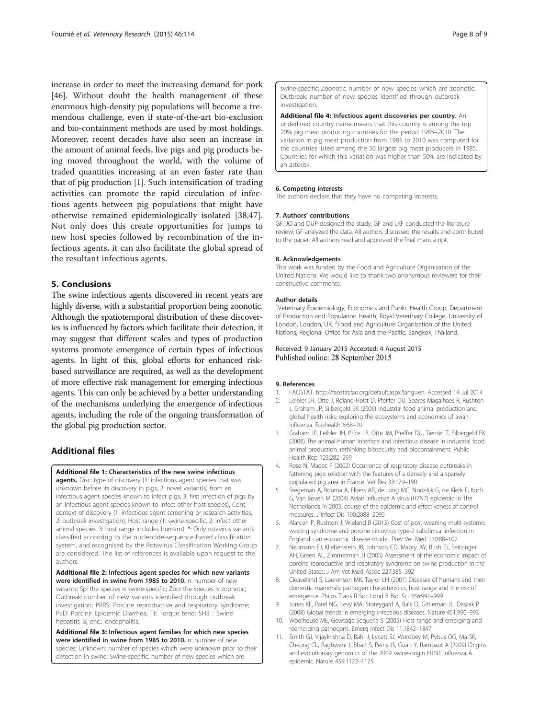<span id="page-8-0"></span>increase in order to meet the increasing demand for pork [[46](#page-9-0)]. Without doubt the health management of these enormous high-density pig populations will become a tremendous challenge, even if state-of-the-art bio-exclusion and bio-containment methods are used by most holdings. Moreover, recent decades have also seen an increase in the amount of animal feeds, live pigs and pig products being moved throughout the world, with the volume of traded quantities increasing at an even faster rate than that of pig production [1]. Such intensification of trading activities can promote the rapid circulation of infectious agents between pig populations that might have otherwise remained epidemiologically isolated [[38,47](#page-9-0)]. Not only does this create opportunities for jumps to new host species followed by recombination of the infectious agents, it can also facilitate the global spread of the resultant infectious agents.

# 5. Conclusions

The swine infectious agents discovered in recent years are highly diverse, with a substantial proportion being zoonotic. Although the spatiotemporal distribution of these discoveries is influenced by factors which facilitate their detection, it may suggest that different scales and types of production systems promote emergence of certain types of infectious agents. In light of this, global efforts for enhanced riskbased surveillance are required, as well as the development of more effective risk management for emerging infectious agents. This can only be achieved by a better understanding of the mechanisms underlying the emergence of infectious agents, including the role of the ongoing transformation of the global pig production sector.

# Additional files

[Additional file 1:](http://www.veterinaryresearch.org/content/supplementary/s13567-015-0226-8-s1.xlsx) Characteristics of the new swine infectious agents. Disc: type of discovery (1: infectious agent species that was unknown before its discovery in pigs, 2: novel variant(s) from an infectious agent species known to infect pigs, 3: first infection of pigs by an infectious agent species known to infect other host species), Cont: context of discovery (1: infectious agent screening or research activities, 2: outbreak investigation), Host range (1: swine-specific, 2: infect other animal species, 3: host range includes humans), \*: Only rotavirus variants classified according to the nucleotide-sequence-based classification system, and recognised by the Rotavirus Classification Working Group are considered. The list of references is available upon request to the authors.

[Additional file 2:](http://www.veterinaryresearch.org/content/supplementary/s13567-015-0226-8-s2.docx) Infectious agent species for which new variants were identified in swine from 1985 to 2010. n: number of new variants; Sp: the species is swine-specific; Zoo: the species is zoonotic; Outbreak: number of new variants identified through outbreak investigation; PRRS: Porcine reproductive and respiratory syndrome; PED: Porcine Epidemic Diarrhea; Tt: Torque teno; SHB : Swine hepatitis B; enc.: encephalitis.

[Additional file 3:](http://www.veterinaryresearch.org/content/supplementary/s13567-015-0226-8-s3.docx) Infectious agent families for which new species were identified in swine from 1985 to 2010. n: number of new species; Unknown: number of species which were unknown prior to their detection in swine; Swine-specific: number of new species which are

swine-specific; Zoonotic: number of new species which are zoonotic; Outbreak: number of new species identified through outbreak investigation.

#### [Additional file 4:](http://www.veterinaryresearch.org/content/supplementary/s13567-015-0226-8-s4.docx) Infectious agent discoveries per country. An

underlined country name means that this country is among the top 20% pig meat producing countries for the period 1985–2010. The variation in pig meat production from 1985 to 2010 was computed for the countries listed among the 50 largest pig meat producers in 1985. Countries for which this variation was higher than 50% are indicated by an asterisk.

#### 6. Competing interests

The authors declare that they have no competing interests.

#### 7. Authors' contributions

GF, JO and DUP designed the study, GF and LKF conducted the literature review, GF analyzed the data. All authors discussed the results and contributed to the paper. All authors read and approved the final manuscript.

#### 8. Acknowledgements

This work was funded by the Food and Agriculture Organization of the United Nations. We would like to thank two anonymous reviewers for their constructive comments.

#### Author details

<sup>1</sup>Veterinary Epidemiology, Economics and Public Health Group, Department of Production and Population Health, Royal Veterinary College, University of London, London, UK. <sup>2</sup> Food and Agriculture Organization of the United Nations, Regional Office for Asia and the Pacific, Bangkok, Thailand.

#### Received: 9 January 2015 Accepted: 4 August 2015 Published online: 28 September 2015

#### 9. References

- 1. FAOSTAT.<http://faostat.fao.org/default.aspx?lang=en>. Accessed 14 Jul 2014 2. Leibler JH, Otte J, Roland-Holst D, Pfeiffer DU, Soares Magalhaes R, Rushton
- J, Graham JP, Silbergeld EK (2009) Industrial food animal production and global health risks: exploring the ecosystems and economics of avian influenza. Ecohealth 6:58–70
- 3. Graham JP, Leibler JH, Price LB, Otte JM, Pfeiffer DU, Tiensin T, Silbergeld EK (2008) The animal-human interface and infectious disease in industrial food animal production: rethinking biosecurity and biocontainment. Public Health Rep 123:282–299
- 4. Rose N, Madec F (2002) Occurrence of respiratory disease outbreaks in fattening pigs: relation with the features of a densely and a sparsely populated pig area in France. Vet Res 33:179–190
- 5. Stegeman A, Bouma A, Elbers AR, de Jong MC, Nodelijk G, de Klerk F, Koch G, Van Boven M (2004) Avian influenza A virus (H7N7) epidemic in The Netherlands in 2003: course of the epidemic and effectiveness of control measures. J Infect Dis 190:2088–2095
- 6. Alarcon P, Rushton J, Wieland B (2013) Cost of post-weaning multi-systemic wasting syndrome and porcine circovirus type-2 subclinical infection in England - an economic disease model. Prev Vet Med 110:88–102
- 7. Neumann EJ, Kliebenstein JB, Johnson CD, Mabry JW, Bush EJ, Seitzinger AH, Green AL, Zimmerman JJ (2005) Assessment of the economic impact of porcine reproductive and respiratory syndrome on swine production in the United States. J Am Vet Med Assoc 227:385–392
- 8. Cleaveland S, Laurenson MK, Taylor LH (2001) Diseases of humans and their domestic mammals: pathogen characteristics, host range and the risk of emergence. Philos Trans R Soc Lond B Biol Sci 356:991–999
- 9. Jones KE, Patel NG, Levy MA, Storeygard A, Balk D, Gittleman JL, Daszak P (2008) Global trends in emerging infectious diseases. Nature 451:990–993
- 10. Woolhouse ME, Gowtage-Sequeria S (2005) Host range and emerging and reemerging pathogens. Emerg Infect Dis 11:1842–1847
- 11. Smith GJ, Vijaykrishna D, Bahl J, Lycett SJ, Worobey M, Pybus OG, Ma SK, Cheung CL, Raghwani J, Bhatt S, Peiris JS, Guan Y, Rambaut A (2009) Origins and evolutionary genomics of the 2009 swine-origin H1N1 influenza A epidemic. Nature 459:1122–1125